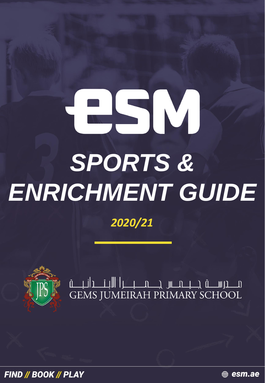# ESM *SPORTS & ENRICHMENT GUIDE*

## *2020/21*



**FIND // BOOK // PLAY** 

∰ esm.ae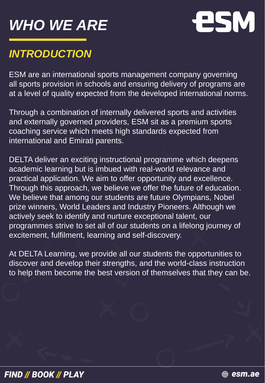# *WHO WE ARE*



## *INTRODUCTION*

ESM are an international sports management company governing all sports provision in schools and ensuring delivery of programs are at a level of quality expected from the developed international norms.

Through a combination of internally delivered sports and activities and externally governed providers, ESM sit as a premium sports coaching service which meets high standards expected from international and Emirati parents.

DELTA deliver an exciting instructional programme which deepens academic learning but is imbued with real-world relevance and practical application. We aim to offer opportunity and excellence. Through this approach, we believe we offer the future of education. We believe that among our students are future Olympians, Nobel prize winners, World Leaders and Industry Pioneers. Although we actively seek to identify and nurture exceptional talent, our programmes strive to set all of our students on a lifelong journey of excitement, fulfilment, learning and self-discovery.

At DELTA Learning, we provide all our students the opportunities to discover and develop their strengths, and the world-class instruction to help them become the best version of themselves that they can be.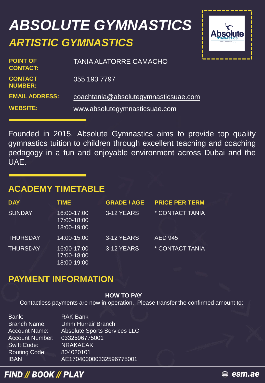# *ABSOLUTE GYMNASTICS ARTISTIC GYMNASTICS*



| <b>POINT OF</b><br><b>CONTACT:</b> | <b>TANIA ALATORRE CAMACHO</b>        |
|------------------------------------|--------------------------------------|
| <b>CONTACT</b><br><b>NUMBER:</b>   | 055 193 7797                         |
| <b>EMAIL ADDRESS:</b>              | coachtania@absolutegymnasticsuae.com |
| <b>WEBSITE:</b>                    | www.absolutegymnasticsuae.com        |

Founded in 2015, Absolute Gymnastics aims to provide top quality gymnastics tuition to children through excellent teaching and coaching pedagogy in a fun and enjoyable environment across Dubai and the UAE.

#### **ACADEMY TIMETABLE**

| <b>DAY</b>      | <b>TIME</b>                               | <b>GRADE / AGE</b> | <b>PRICE PER TERM</b> |
|-----------------|-------------------------------------------|--------------------|-----------------------|
| <b>SUNDAY</b>   | 16:00-17:00<br>17:00-18:00<br>18:00-19:00 | 3-12 YEARS         | * CONTACT TANIA       |
| <b>THURSDAY</b> | 14:00-15:00                               | 3-12 YEARS         | <b>AED 945</b>        |
| <b>THURSDAY</b> | 16:00-17:00<br>17:00-18:00<br>18:00-19:00 | 3-12 YEARS         | * CONTACT TANIA       |

#### **PAYMENT INFORMATION**

#### **HOW TO PAY**

Contactless payments are now in operation. Please transfer the confirmed amount to:

| Bank:                  | <b>RAK Bank</b>                     |
|------------------------|-------------------------------------|
| <b>Branch Name:</b>    | <b>Umm Hurrair Branch</b>           |
| <b>Account Name:</b>   | <b>Absolute Sports Services LLC</b> |
| <b>Account Number:</b> | 0332596775001                       |
| <b>Swift Code:</b>     | <b>NRAKAEAK</b>                     |
| <b>Routing Code:</b>   | 804020101                           |
| <b>IBAN</b>            | AE170400000332596775001             |

#### **FIND // BOOK // PLAY**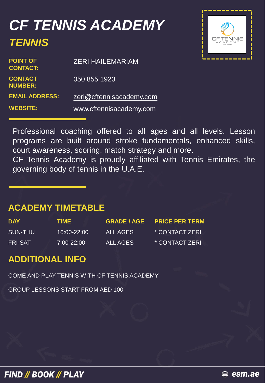## *CF TENNIS ACADEMY TENNIS*



<del>∰</del> esm.ae

| <b>POINT OF</b><br><b>CONTACT:</b> | <b>ZERI HAILEMARIAM</b>  |
|------------------------------------|--------------------------|
| <b>CONTACT</b><br><b>NUMBER:</b>   | 050 855 1923             |
| <b>EMAIL ADDRESS:</b>              | zeri@cftennisacademy.com |
| <b>WEBSITE:</b>                    | www.cftennisacademy.com  |

Professional coaching offered to all ages and all levels. Lesson programs are built around stroke fundamentals, enhanced skills, court awareness, scoring, match strategy and more.

CF Tennis Academy is proudly affiliated with Tennis Emirates, the governing body of tennis in the U.A.E.

#### **ACADEMY TIMETABLE**

| <b>DAY</b>     | TIME           | <b>GRADE / AGE</b> | <b>PRICE PER TERM</b> |
|----------------|----------------|--------------------|-----------------------|
| SUN-THU        | 16:00-22:00    | ALL AGES           | * CONTACT ZERI        |
| <b>FRI-SAT</b> | $7:00 - 22:00$ | ALL AGES           | * CONTACT ZERI        |

#### **ADDITIONAL INFO**

COME AND PLAY TENNIS WITH CF TENNIS ACADEMY

GROUP LESSONS START FROM AED 100

**FIND // BOOK // PLAY**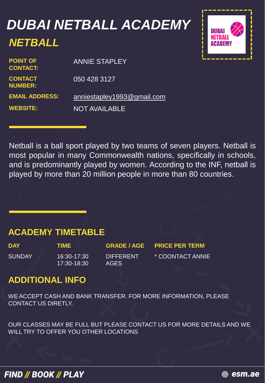## *DUBAI NETBALL ACADEMY NETBALL*



| <b>POINT OF</b><br><b>CONTACT:</b> | <b>ANNIE STAPLEY</b>       |
|------------------------------------|----------------------------|
| <b>CONTACT</b><br><b>NUMBER:</b>   | 050 428 3127               |
| <b>EMAIL ADDRESS:</b>              | anniestapley1993@gmail.com |
| <b>WEBSITE:</b>                    | <b>NOT AVAILABLE</b>       |

Netball is a ball sport played by two teams of seven players. Netball is most popular in many Commonwealth nations, specifically in schools, and is predominantly played by women. According to the INF, netball is played by more than 20 million people in more than 80 countries.

#### **ACADEMY TIMETABLE**

SUNDAY 16:30-17:30

17:30-18:30

**DIFFERENT** AGES

**DAY TIME GRADE / AGE PRICE PER TERM** \* COONTACT ANNIE

#### **ADDITIONAL INFO**

WE ACCEPT CASH AND BANK TRANSFER. FOR MORE INFORMATION, PLEASE CONTACT US DIRETLY.

OUR CLASSES MAY BE FULL BUT PLEASE CONTACT US FOR MORE DETAILS AND WE WILL TRY TO OFFER YOU OTHER LOCATIONS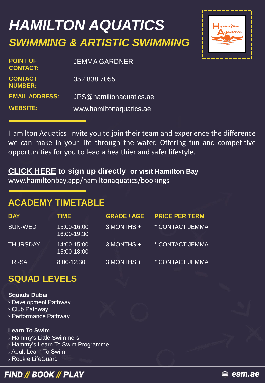# *HAMILTON AQUATICS SWIMMING & ARTISTIC SWIMMING*

| <b>JEMMA GARDNER</b>    |
|-------------------------|
| 052 838 7055            |
| JPS@hamiltonaquatics.ae |
| www.hamiltonaquatics.ae |
|                         |



Hamilton Aquatics invite you to join their team and experience the difference we can make in your life through the water. Offering fun and competitive opportunities for you to lead a healthier and safer lifestyle.

#### **[CLICK](http://hamiltonaquatics.ae/hamiltonbay/bookings) HERE to sign up directly or visit Hamilton Bay**

[www.hamiltonbay.app/hamiltonaquatics/bookings](https://www.hamiltonbay.app/hamiltonaquatics/bookings)

## **ACADEMY TIMETABLE**

| <b>DAY</b>      | TIME.                      | <b>GRADE / AGE</b> | <b>PRICE PER TERM</b> |
|-----------------|----------------------------|--------------------|-----------------------|
| SUN-WED         | 15:00-16:00<br>16:00-19:30 | 3 MONTHS +         | * CONTACT JEMMA       |
| <b>THURSDAY</b> | 14:00-15:00<br>15:00-18:00 | 3 MONTHS +         | * CONTACT JEMMA       |
| <b>FRI-SAT</b>  | 8:00-12:30                 | 3 MONTHS +         | * CONTACT JEMMA       |

## **SQUAD LEVELS**

#### **Squads Dubai**

› Development Pathway

- › Club Pathway
- › Performance Pathway

#### **Learn To Swim**

› Hammy's Little Swimmers

- › Hammy's Learn To Swim Programme
- › Adult Learn To Swim
- › Rookie LifeGuard



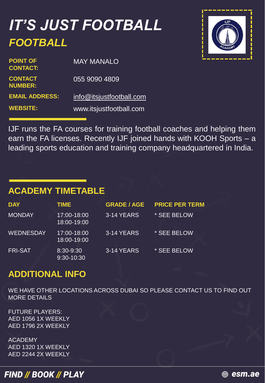## *IT'S JUST FOOTBALL FOOTBALL*



| <b>POINT OF</b><br><b>CONTACT:</b> | <b>MAY MANALO</b>        |
|------------------------------------|--------------------------|
| <b>CONTACT</b><br><b>NUMBER:</b>   | 055 9090 4809            |
| <b>EMAIL ADDRESS:</b>              | info@itsjustfootball.com |
| <b>WEBSITE:</b>                    | www.itsjustfootball.com  |

IJF runs the FA courses for training football coaches and helping them earn the FA licenses. Recently IJF joined hands with KOOH Sports – a leading sports education and training company headquartered in India.

#### **ACADEMY TIMETABLE**

| <b>DAY</b>       | <b>TIME</b>                | <b>GRADE / AGE</b> | <b>PRICE PER TERM</b> |
|------------------|----------------------------|--------------------|-----------------------|
| <b>MONDAY</b>    | 17:00-18:00<br>18:00-19:00 | 3-14 YEARS         | * SEE BELOW           |
| <b>WEDNESDAY</b> | 17:00-18:00<br>18:00-19:00 | 3-14 YEARS         | * SEE BELOW           |
| <b>FRI-SAT</b>   | 8:30-9:30<br>9:30-10:30    | 3-14 YEARS         | * SEE BELOW           |

## **ADDITIONAL INFO**

WE HAVE OTHER LOCATIONS ACROSS DUBAI SO PLEASE CONTACT US TO FIND OUT MORE DETAILS

FUTURE PLAYERS: AED 1056 1X WEEKLY AED 1796 2X WEEKLY

ACADEMY AED 1320 1X WEEKLY AED 2244 2X WEEKLY